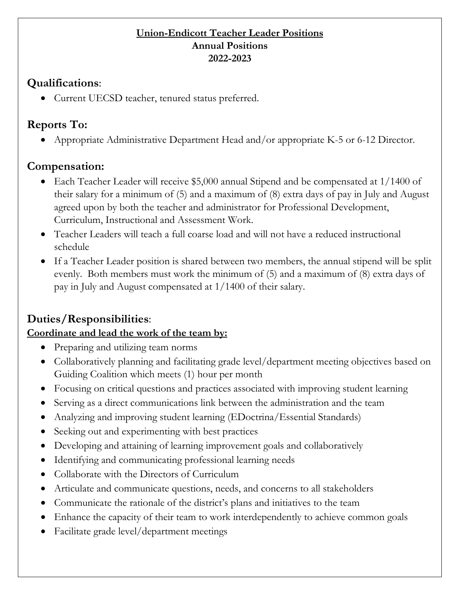#### **Union-Endicott Teacher Leader Positions Annual Positions 2022-2023**

#### **Qualifications**:

• Current UECSD teacher, tenured status preferred.

## **Reports To:**

• Appropriate Administrative Department Head and/or appropriate K-5 or 6-12 Director.

## **Compensation:**

- Each Teacher Leader will receive \$5,000 annual Stipend and be compensated at 1/1400 of their salary for a minimum of (5) and a maximum of (8) extra days of pay in July and August agreed upon by both the teacher and administrator for Professional Development, Curriculum, Instructional and Assessment Work.
- Teacher Leaders will teach a full coarse load and will not have a reduced instructional schedule
- If a Teacher Leader position is shared between two members, the annual stipend will be split evenly. Both members must work the minimum of (5) and a maximum of (8) extra days of pay in July and August compensated at 1/1400 of their salary.

# **Duties/Responsibilities**:

### **Coordinate and lead the work of the team by:**

- Preparing and utilizing team norms
- Collaboratively planning and facilitating grade level/department meeting objectives based on Guiding Coalition which meets (1) hour per month
- Focusing on critical questions and practices associated with improving student learning
- Serving as a direct communications link between the administration and the team
- Analyzing and improving student learning (EDoctrina/Essential Standards)
- Seeking out and experimenting with best practices
- Developing and attaining of learning improvement goals and collaboratively
- Identifying and communicating professional learning needs
- Collaborate with the Directors of Curriculum
- Articulate and communicate questions, needs, and concerns to all stakeholders
- Communicate the rationale of the district's plans and initiatives to the team
- Enhance the capacity of their team to work interdependently to achieve common goals
- Facilitate grade level/department meetings